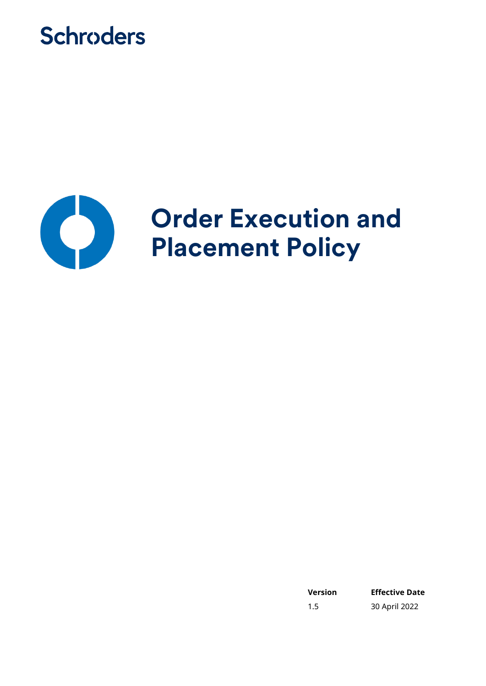



**Version Effective Date** 1.5 30 April 2022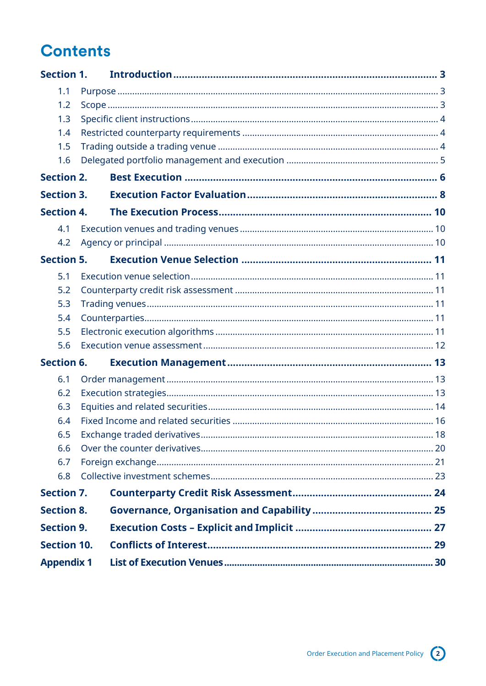# **Contents**

| <b>Section 1.</b>  |  |
|--------------------|--|
| 1.1                |  |
| 1.2                |  |
| 1.3                |  |
| 1.4                |  |
| 1.5                |  |
| 1.6                |  |
| <b>Section 2.</b>  |  |
| <b>Section 3.</b>  |  |
| <b>Section 4.</b>  |  |
| 4.1                |  |
| 4.2                |  |
| <b>Section 5.</b>  |  |
| 5.1                |  |
| 5.2                |  |
| 5.3                |  |
| 5.4                |  |
| 5.5                |  |
| 5.6                |  |
| <b>Section 6.</b>  |  |
| 6.1                |  |
| 6.2                |  |
| 6.3                |  |
| 6.4                |  |
| 6.5                |  |
| 6.6                |  |
| 6.7<br>6.8         |  |
|                    |  |
| <b>Section 7.</b>  |  |
| <b>Section 8.</b>  |  |
| <b>Section 9.</b>  |  |
| <b>Section 10.</b> |  |
| <b>Appendix 1</b>  |  |

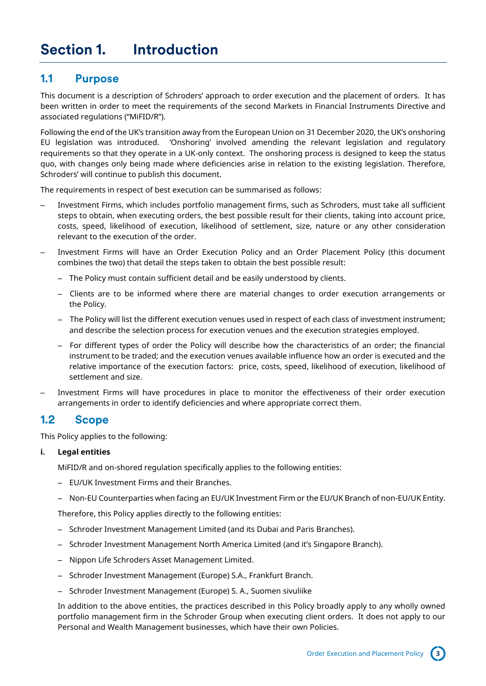### <span id="page-2-1"></span><span id="page-2-0"></span>**1.1 Purpose**

This document is a description of Schroders' approach to order execution and the placement of orders. It has been written in order to meet the requirements of the second Markets in Financial Instruments Directive and associated regulations ("MiFID/R").

Following the end of the UK's transition away from the European Union on 31 December 2020, the UK's onshoring EU legislation was introduced. 'Onshoring' involved amending the relevant legislation and regulatory requirements so that they operate in a UK-only context. The onshoring process is designed to keep the status quo, with changes only being made where deficiencies arise in relation to the existing legislation. Therefore, Schroders' will continue to publish this document.

The requirements in respect of best execution can be summarised as follows:

- Investment Firms, which includes portfolio management firms, such as Schroders, must take all sufficient steps to obtain, when executing orders, the best possible result for their clients, taking into account price, costs, speed, likelihood of execution, likelihood of settlement, size, nature or any other consideration relevant to the execution of the order.
- Investment Firms will have an Order Execution Policy and an Order Placement Policy (this document combines the two) that detail the steps taken to obtain the best possible result:
	- The Policy must contain sufficient detail and be easily understood by clients.
	- Clients are to be informed where there are material changes to order execution arrangements or the Policy.
	- The Policy will list the different execution venues used in respect of each class of investment instrument; and describe the selection process for execution venues and the execution strategies employed.
	- For different types of order the Policy will describe how the characteristics of an order; the financial instrument to be traded; and the execution venues available influence how an order is executed and the relative importance of the execution factors: price, costs, speed, likelihood of execution, likelihood of settlement and size.
- Investment Firms will have procedures in place to monitor the effectiveness of their order execution arrangements in order to identify deficiencies and where appropriate correct them.

### <span id="page-2-2"></span>**1.2 Scope**

This Policy applies to the following:

### **i. Legal entities**

MiFID/R and on-shored regulation specifically applies to the following entities:

- EU/UK Investment Firms and their Branches.
- Non-EU Counterparties when facing an EU/UK Investment Firm or the EU/UK Branch of non-EU/UK Entity.

Therefore, this Policy applies directly to the following entities:

- Schroder Investment Management Limited (and its Dubai and Paris Branches).
- Schroder Investment Management North America Limited (and it's Singapore Branch).
- Nippon Life Schroders Asset Management Limited.
- Schroder Investment Management (Europe) S.A., Frankfurt Branch.
- Schroder Investment Management (Europe) S. A., Suomen sivuliike

In addition to the above entities, the practices described in this Policy broadly apply to any wholly owned portfolio management firm in the Schroder Group when executing client orders. It does not apply to our Personal and Wealth Management businesses, which have their own Policies.

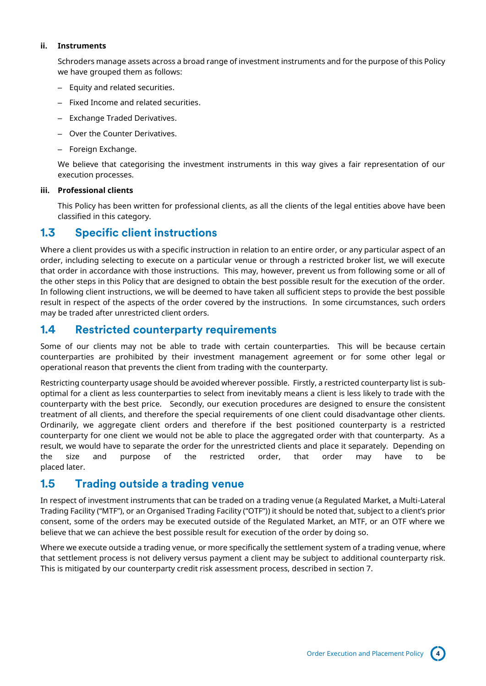### **ii. Instruments**

Schroders manage assets across a broad range of investment instruments and for the purpose of this Policy we have grouped them as follows:

- Equity and related securities.
- Fixed Income and related securities.
- Exchange Traded Derivatives.
- Over the Counter Derivatives.
- Foreign Exchange.

We believe that categorising the investment instruments in this way gives a fair representation of our execution processes.

### **iii. Professional clients**

This Policy has been written for professional clients, as all the clients of the legal entities above have been classified in this category.

## <span id="page-3-0"></span>**1.3 Specific client instructions**

Where a client provides us with a specific instruction in relation to an entire order, or any particular aspect of an order, including selecting to execute on a particular venue or through a restricted broker list, we will execute that order in accordance with those instructions. This may, however, prevent us from following some or all of the other steps in this Policy that are designed to obtain the best possible result for the execution of the order. In following client instructions, we will be deemed to have taken all sufficient steps to provide the best possible result in respect of the aspects of the order covered by the instructions. In some circumstances, such orders may be traded after unrestricted client orders.

### <span id="page-3-1"></span>**1.4 Restricted counterparty requirements**

Some of our clients may not be able to trade with certain counterparties. This will be because certain counterparties are prohibited by their investment management agreement or for some other legal or operational reason that prevents the client from trading with the counterparty.

Restricting counterparty usage should be avoided wherever possible. Firstly, a restricted counterparty list is suboptimal for a client as less counterparties to select from inevitably means a client is less likely to trade with the counterparty with the best price. Secondly, our execution procedures are designed to ensure the consistent treatment of all clients, and therefore the special requirements of one client could disadvantage other clients. Ordinarily, we aggregate client orders and therefore if the best positioned counterparty is a restricted counterparty for one client we would not be able to place the aggregated order with that counterparty. As a result, we would have to separate the order for the unrestricted clients and place it separately. Depending on the size and purpose of the restricted order, that order may have to be placed later.

### <span id="page-3-2"></span>**1.5 Trading outside a trading venue**

In respect of investment instruments that can be traded on a trading venue (a Regulated Market, a Multi-Lateral Trading Facility ("MTF"), or an Organised Trading Facility ("OTF")) it should be noted that, subject to a client's prior consent, some of the orders may be executed outside of the Regulated Market, an MTF, or an OTF where we believe that we can achieve the best possible result for execution of the order by doing so.

Where we execute outside a trading venue, or more specifically the settlement system of a trading venue, where that settlement process is not delivery versus payment a client may be subject to additional counterparty risk. This is mitigated by our counterparty credit risk assessment process, described in section 7.

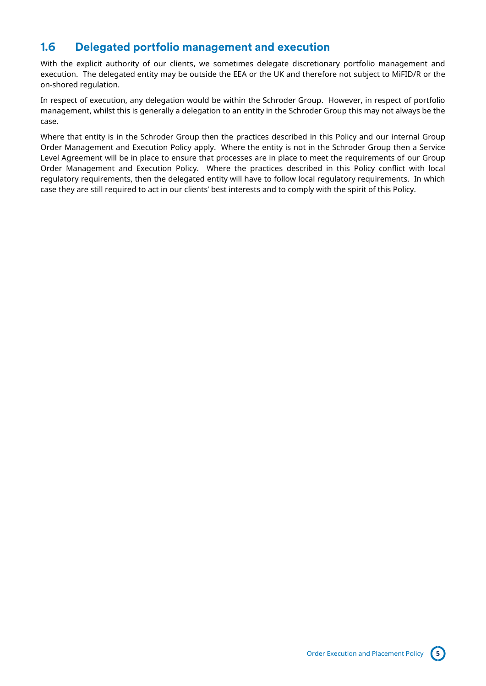## <span id="page-4-0"></span>**1.6 Delegated portfolio management and execution**

With the explicit authority of our clients, we sometimes delegate discretionary portfolio management and execution. The delegated entity may be outside the EEA or the UK and therefore not subject to MiFID/R or the on-shored regulation.

In respect of execution, any delegation would be within the Schroder Group. However, in respect of portfolio management, whilst this is generally a delegation to an entity in the Schroder Group this may not always be the case.

Where that entity is in the Schroder Group then the practices described in this Policy and our internal Group Order Management and Execution Policy apply. Where the entity is not in the Schroder Group then a Service Level Agreement will be in place to ensure that processes are in place to meet the requirements of our Group Order Management and Execution Policy. Where the practices described in this Policy conflict with local regulatory requirements, then the delegated entity will have to follow local regulatory requirements. In which case they are still required to act in our clients' best interests and to comply with the spirit of this Policy.

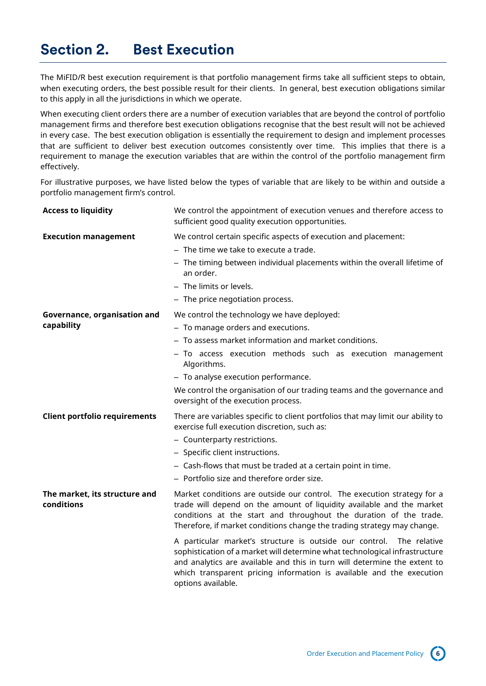# <span id="page-5-0"></span>**Section 2. Best Execution**

The MiFID/R best execution requirement is that portfolio management firms take all sufficient steps to obtain, when executing orders, the best possible result for their clients. In general, best execution obligations similar to this apply in all the jurisdictions in which we operate.

When executing client orders there are a number of execution variables that are beyond the control of portfolio management firms and therefore best execution obligations recognise that the best result will not be achieved in every case. The best execution obligation is essentially the requirement to design and implement processes that are sufficient to deliver best execution outcomes consistently over time. This implies that there is a requirement to manage the execution variables that are within the control of the portfolio management firm effectively.

For illustrative purposes, we have listed below the types of variable that are likely to be within and outside a portfolio management firm's control.

| <b>Access to liquidity</b>                  | We control the appointment of execution venues and therefore access to<br>sufficient good quality execution opportunities.                                                                                                                                                                                                                                                                                                                                                                                                                                                                                                         |
|---------------------------------------------|------------------------------------------------------------------------------------------------------------------------------------------------------------------------------------------------------------------------------------------------------------------------------------------------------------------------------------------------------------------------------------------------------------------------------------------------------------------------------------------------------------------------------------------------------------------------------------------------------------------------------------|
| <b>Execution management</b>                 | We control certain specific aspects of execution and placement:<br>$-$ The time we take to execute a trade.<br>- The timing between individual placements within the overall lifetime of<br>an order.<br>- The limits or levels.<br>- The price negotiation process.                                                                                                                                                                                                                                                                                                                                                               |
| Governance, organisation and<br>capability  | We control the technology we have deployed:<br>- To manage orders and executions.<br>- To assess market information and market conditions.<br>- To access execution methods such as execution management<br>Algorithms.<br>- To analyse execution performance.<br>We control the organisation of our trading teams and the governance and<br>oversight of the execution process.                                                                                                                                                                                                                                                   |
| <b>Client portfolio requirements</b>        | There are variables specific to client portfolios that may limit our ability to<br>exercise full execution discretion, such as:<br>- Counterparty restrictions.<br>- Specific client instructions.<br>- Cash-flows that must be traded at a certain point in time.<br>- Portfolio size and therefore order size.                                                                                                                                                                                                                                                                                                                   |
| The market, its structure and<br>conditions | Market conditions are outside our control. The execution strategy for a<br>trade will depend on the amount of liquidity available and the market<br>conditions at the start and throughout the duration of the trade.<br>Therefore, if market conditions change the trading strategy may change.<br>A particular market's structure is outside our control. The relative<br>sophistication of a market will determine what technological infrastructure<br>and analytics are available and this in turn will determine the extent to<br>which transparent pricing information is available and the execution<br>options available. |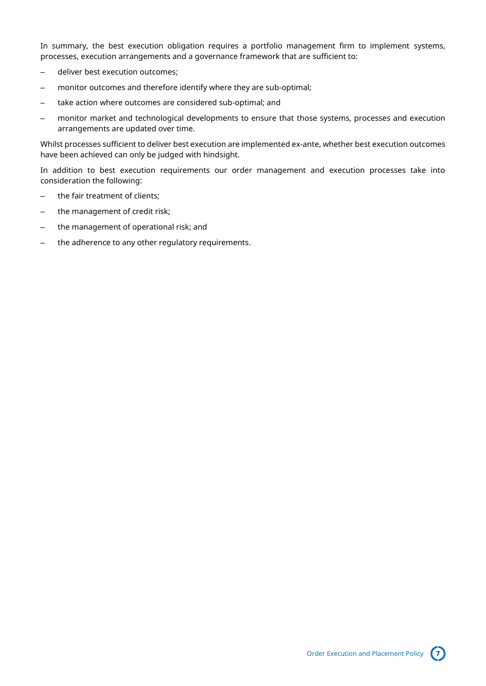In summary, the best execution obligation requires a portfolio management firm to implement systems, processes, execution arrangements and a governance framework that are sufficient to:

- deliver best execution outcomes;
- monitor outcomes and therefore identify where they are sub-optimal;
- take action where outcomes are considered sub-optimal; and
- monitor market and technological developments to ensure that those systems, processes and execution arrangements are updated over time.

Whilst processes sufficient to deliver best execution are implemented ex-ante, whether best execution outcomes have been achieved can only be judged with hindsight.

In addition to best execution requirements our order management and execution processes take into consideration the following:

- the fair treatment of clients;
- the management of credit risk;
- the management of operational risk; and
- the adherence to any other regulatory requirements.

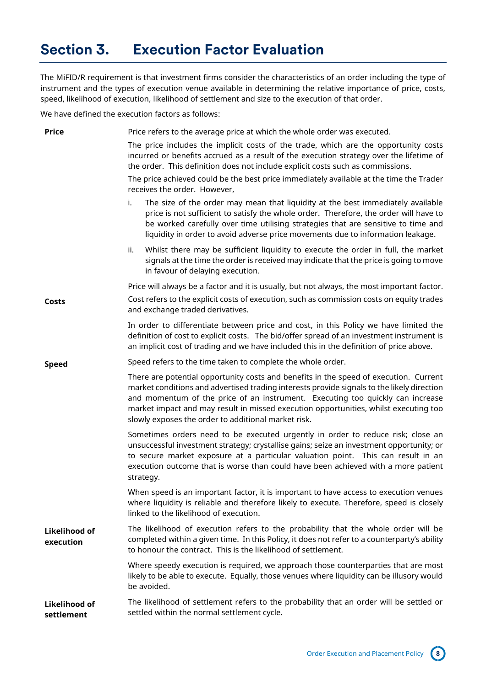# <span id="page-7-0"></span>**Section 3. Execution Factor Evaluation**

The MiFID/R requirement is that investment firms consider the characteristics of an order including the type of instrument and the types of execution venue available in determining the relative importance of price, costs, speed, likelihood of execution, likelihood of settlement and size to the execution of that order.

We have defined the execution factors as follows:

| <b>Price</b>                       | Price refers to the average price at which the whole order was executed.                                                                                                                                                                                                                                                                                                                                             |
|------------------------------------|----------------------------------------------------------------------------------------------------------------------------------------------------------------------------------------------------------------------------------------------------------------------------------------------------------------------------------------------------------------------------------------------------------------------|
|                                    | The price includes the implicit costs of the trade, which are the opportunity costs<br>incurred or benefits accrued as a result of the execution strategy over the lifetime of<br>the order. This definition does not include explicit costs such as commissions.                                                                                                                                                    |
|                                    | The price achieved could be the best price immediately available at the time the Trader<br>receives the order. However,                                                                                                                                                                                                                                                                                              |
|                                    | The size of the order may mean that liquidity at the best immediately available<br>i.<br>price is not sufficient to satisfy the whole order. Therefore, the order will have to<br>be worked carefully over time utilising strategies that are sensitive to time and<br>liquidity in order to avoid adverse price movements due to information leakage.                                                               |
|                                    | Whilst there may be sufficient liquidity to execute the order in full, the market<br>ii.<br>signals at the time the order is received may indicate that the price is going to move<br>in favour of delaying execution.                                                                                                                                                                                               |
|                                    | Price will always be a factor and it is usually, but not always, the most important factor.                                                                                                                                                                                                                                                                                                                          |
| Costs                              | Cost refers to the explicit costs of execution, such as commission costs on equity trades<br>and exchange traded derivatives.                                                                                                                                                                                                                                                                                        |
|                                    | In order to differentiate between price and cost, in this Policy we have limited the<br>definition of cost to explicit costs. The bid/offer spread of an investment instrument is<br>an implicit cost of trading and we have included this in the definition of price above.                                                                                                                                         |
| <b>Speed</b>                       | Speed refers to the time taken to complete the whole order.                                                                                                                                                                                                                                                                                                                                                          |
|                                    | There are potential opportunity costs and benefits in the speed of execution. Current<br>market conditions and advertised trading interests provide signals to the likely direction<br>and momentum of the price of an instrument. Executing too quickly can increase<br>market impact and may result in missed execution opportunities, whilst executing too<br>slowly exposes the order to additional market risk. |
|                                    | Sometimes orders need to be executed urgently in order to reduce risk; close an<br>unsuccessful investment strategy; crystallise gains; seize an investment opportunity; or<br>to secure market exposure at a particular valuation point. This can result in an<br>execution outcome that is worse than could have been achieved with a more patient<br>strategy.                                                    |
|                                    | When speed is an important factor, it is important to have access to execution venues<br>where liquidity is reliable and therefore likely to execute. Therefore, speed is closely<br>linked to the likelihood of execution.                                                                                                                                                                                          |
| Likelihood of<br>execution         | The likelihood of execution refers to the probability that the whole order will be<br>completed within a given time. In this Policy, it does not refer to a counterparty's ability<br>to honour the contract. This is the likelihood of settlement.                                                                                                                                                                  |
|                                    | Where speedy execution is required, we approach those counterparties that are most<br>likely to be able to execute. Equally, those venues where liquidity can be illusory would<br>be avoided.                                                                                                                                                                                                                       |
| <b>Likelihood of</b><br>settlement | The likelihood of settlement refers to the probability that an order will be settled or<br>settled within the normal settlement cycle.                                                                                                                                                                                                                                                                               |

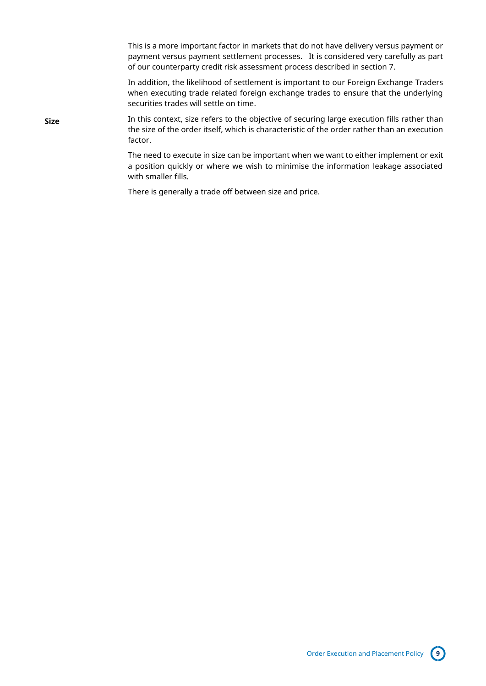This is a more important factor in markets that do not have delivery versus payment or payment versus payment settlement processes. It is considered very carefully as part of our counterparty credit risk assessment process described in section 7.

In addition, the likelihood of settlement is important to our Foreign Exchange Traders when executing trade related foreign exchange trades to ensure that the underlying securities trades will settle on time.

**Size** In this context, size refers to the objective of securing large execution fills rather than the size of the order itself, which is characteristic of the order rather than an execution factor.

> The need to execute in size can be important when we want to either implement or exit a position quickly or where we wish to minimise the information leakage associated with smaller fills.

There is generally a trade off between size and price.

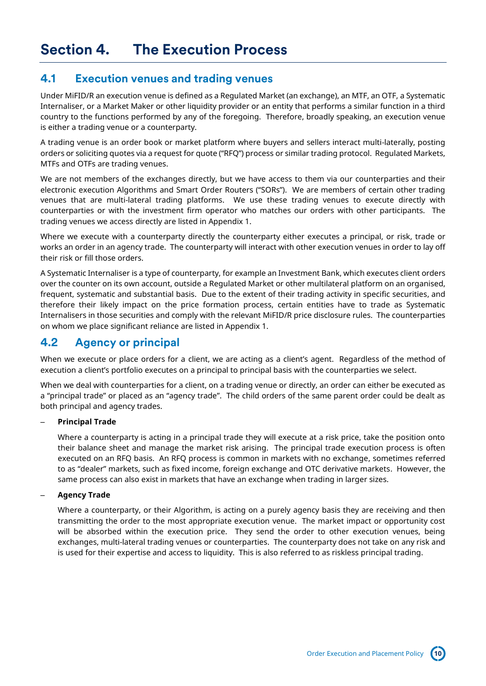### <span id="page-9-1"></span><span id="page-9-0"></span>**4.1 Execution venues and trading venues**

Under MiFID/R an execution venue is defined as a Regulated Market (an exchange), an MTF, an OTF, a Systematic Internaliser, or a Market Maker or other liquidity provider or an entity that performs a similar function in a third country to the functions performed by any of the foregoing. Therefore, broadly speaking, an execution venue is either a trading venue or a counterparty.

A trading venue is an order book or market platform where buyers and sellers interact multi-laterally, posting orders or soliciting quotes via a request for quote ("RFQ") process or similar trading protocol. Regulated Markets, MTFs and OTFs are trading venues.

We are not members of the exchanges directly, but we have access to them via our counterparties and their electronic execution Algorithms and Smart Order Routers ("SORs"). We are members of certain other trading venues that are multi-lateral trading platforms. We use these trading venues to execute directly with counterparties or with the investment firm operator who matches our orders with other participants. The trading venues we access directly are listed in Appendix 1.

Where we execute with a counterparty directly the counterparty either executes a principal, or risk, trade or works an order in an agency trade. The counterparty will interact with other execution venues in order to lay off their risk or fill those orders.

A Systematic Internaliser is a type of counterparty, for example an Investment Bank, which executes client orders over the counter on its own account, outside a Regulated Market or other multilateral platform on an organised, frequent, systematic and substantial basis. Due to the extent of their trading activity in specific securities, and therefore their likely impact on the price formation process, certain entities have to trade as Systematic Internalisers in those securities and comply with the relevant MiFID/R price disclosure rules. The counterparties on whom we place significant reliance are listed in Appendix 1.

## <span id="page-9-2"></span>**4.2 Agency or principal**

When we execute or place orders for a client, we are acting as a client's agent. Regardless of the method of execution a client's portfolio executes on a principal to principal basis with the counterparties we select.

When we deal with counterparties for a client, on a trading venue or directly, an order can either be executed as a "principal trade" or placed as an "agency trade". The child orders of the same parent order could be dealt as both principal and agency trades.

### – **Principal Trade**

Where a counterparty is acting in a principal trade they will execute at a risk price, take the position onto their balance sheet and manage the market risk arising. The principal trade execution process is often executed on an RFQ basis. An RFQ process is common in markets with no exchange, sometimes referred to as "dealer" markets, such as fixed income, foreign exchange and OTC derivative markets. However, the same process can also exist in markets that have an exchange when trading in larger sizes.

### – **Agency Trade**

Where a counterparty, or their Algorithm, is acting on a purely agency basis they are receiving and then transmitting the order to the most appropriate execution venue. The market impact or opportunity cost will be absorbed within the execution price. They send the order to other execution venues, being exchanges, multi-lateral trading venues or counterparties. The counterparty does not take on any risk and is used for their expertise and access to liquidity. This is also referred to as riskless principal trading.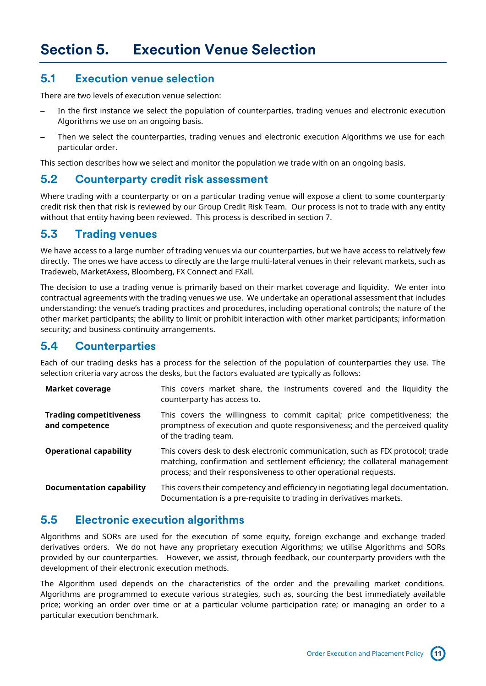## <span id="page-10-1"></span><span id="page-10-0"></span>**5.1 Execution venue selection**

There are two levels of execution venue selection:

- In the first instance we select the population of counterparties, trading venues and electronic execution Algorithms we use on an ongoing basis.
- Then we select the counterparties, trading venues and electronic execution Algorithms we use for each particular order.

This section describes how we select and monitor the population we trade with on an ongoing basis.

### <span id="page-10-2"></span>**5.2 Counterparty credit risk assessment**

Where trading with a counterparty or on a particular trading venue will expose a client to some counterparty credit risk then that risk is reviewed by our Group Credit Risk Team. Our process is not to trade with any entity without that entity having been reviewed. This process is described in section 7.

### <span id="page-10-3"></span>**5.3 Trading venues**

We have access to a large number of trading venues via our counterparties, but we have access to relatively few directly. The ones we have access to directly are the large multi-lateral venues in their relevant markets, such as Tradeweb, MarketAxess, Bloomberg, FX Connect and FXall.

The decision to use a trading venue is primarily based on their market coverage and liquidity. We enter into contractual agreements with the trading venues we use. We undertake an operational assessment that includes understanding: the venue's trading practices and procedures, including operational controls; the nature of the other market participants; the ability to limit or prohibit interaction with other market participants; information security; and business continuity arrangements.

### <span id="page-10-4"></span>**5.4 Counterparties**

Each of our trading desks has a process for the selection of the population of counterparties they use. The selection criteria vary across the desks, but the factors evaluated are typically as follows:

| <b>Market coverage</b>                           | This covers market share, the instruments covered and the liquidity the<br>counterparty has access to.                                                                                                                            |
|--------------------------------------------------|-----------------------------------------------------------------------------------------------------------------------------------------------------------------------------------------------------------------------------------|
| <b>Trading competitiveness</b><br>and competence | This covers the willingness to commit capital; price competitiveness; the<br>promptness of execution and quote responsiveness; and the perceived quality<br>of the trading team.                                                  |
| <b>Operational capability</b>                    | This covers desk to desk electronic communication, such as FIX protocol; trade<br>matching, confirmation and settlement efficiency; the collateral management<br>process; and their responsiveness to other operational requests. |
| <b>Documentation capability</b>                  | This covers their competency and efficiency in negotiating legal documentation.<br>Documentation is a pre-requisite to trading in derivatives markets.                                                                            |

### <span id="page-10-5"></span>**5.5 Electronic execution algorithms**

Algorithms and SORs are used for the execution of some equity, foreign exchange and exchange traded derivatives orders. We do not have any proprietary execution Algorithms; we utilise Algorithms and SORs provided by our counterparties. However, we assist, through feedback, our counterparty providers with the development of their electronic execution methods.

The Algorithm used depends on the characteristics of the order and the prevailing market conditions. Algorithms are programmed to execute various strategies, such as, sourcing the best immediately available price; working an order over time or at a particular volume participation rate; or managing an order to a particular execution benchmark.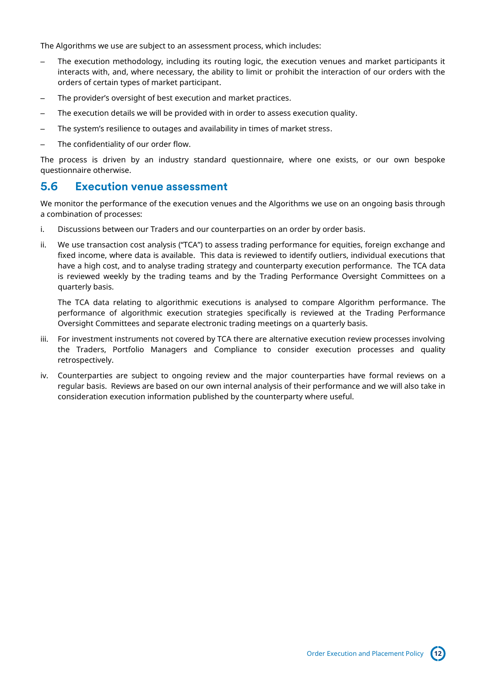The Algorithms we use are subject to an assessment process, which includes:

- The execution methodology, including its routing logic, the execution venues and market participants it interacts with, and, where necessary, the ability to limit or prohibit the interaction of our orders with the orders of certain types of market participant.
- The provider's oversight of best execution and market practices.
- The execution details we will be provided with in order to assess execution quality.
- The system's resilience to outages and availability in times of market stress.
- The confidentiality of our order flow.

The process is driven by an industry standard questionnaire, where one exists, or our own bespoke questionnaire otherwise.

### <span id="page-11-0"></span>**5.6 Execution venue assessment**

We monitor the performance of the execution venues and the Algorithms we use on an ongoing basis through a combination of processes:

- i. Discussions between our Traders and our counterparties on an order by order basis.
- ii. We use transaction cost analysis ("TCA") to assess trading performance for equities, foreign exchange and fixed income, where data is available. This data is reviewed to identify outliers, individual executions that have a high cost, and to analyse trading strategy and counterparty execution performance. The TCA data is reviewed weekly by the trading teams and by the Trading Performance Oversight Committees on a quarterly basis.

The TCA data relating to algorithmic executions is analysed to compare Algorithm performance. The performance of algorithmic execution strategies specifically is reviewed at the Trading Performance Oversight Committees and separate electronic trading meetings on a quarterly basis.

- iii. For investment instruments not covered by TCA there are alternative execution review processes involving the Traders, Portfolio Managers and Compliance to consider execution processes and quality retrospectively.
- iv. Counterparties are subject to ongoing review and the major counterparties have formal reviews on a regular basis. Reviews are based on our own internal analysis of their performance and we will also take in consideration execution information published by the counterparty where useful.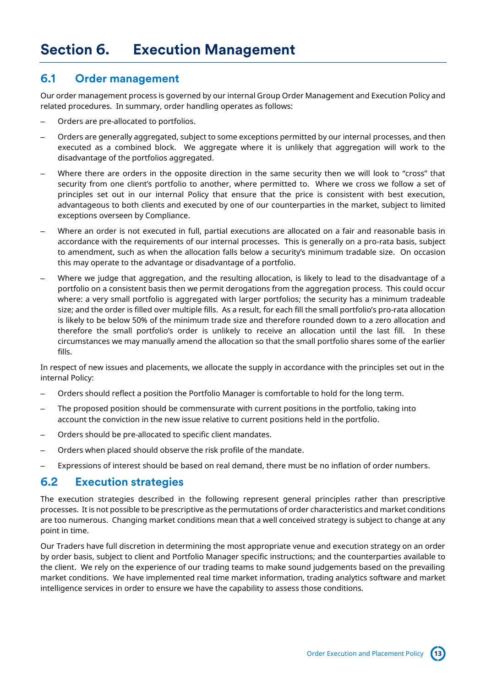### <span id="page-12-1"></span><span id="page-12-0"></span>**6.1 Order management**

Our order management process is governed by our internal Group Order Management and Execution Policy and related procedures. In summary, order handling operates as follows:

- Orders are pre-allocated to portfolios.
- Orders are generally aggregated, subject to some exceptions permitted by our internal processes, and then executed as a combined block. We aggregate where it is unlikely that aggregation will work to the disadvantage of the portfolios aggregated.
- Where there are orders in the opposite direction in the same security then we will look to "cross" that security from one client's portfolio to another, where permitted to. Where we cross we follow a set of principles set out in our internal Policy that ensure that the price is consistent with best execution, advantageous to both clients and executed by one of our counterparties in the market, subject to limited exceptions overseen by Compliance.
- Where an order is not executed in full, partial executions are allocated on a fair and reasonable basis in accordance with the requirements of our internal processes. This is generally on a pro-rata basis, subject to amendment, such as when the allocation falls below a security's minimum tradable size. On occasion this may operate to the advantage or disadvantage of a portfolio.
- Where we judge that aggregation, and the resulting allocation, is likely to lead to the disadvantage of a portfolio on a consistent basis then we permit derogations from the aggregation process. This could occur where: a very small portfolio is aggregated with larger portfolios; the security has a minimum tradeable size; and the order is filled over multiple fills. As a result, for each fill the small portfolio's pro-rata allocation is likely to be below 50% of the minimum trade size and therefore rounded down to a zero allocation and therefore the small portfolio's order is unlikely to receive an allocation until the last fill. In these circumstances we may manually amend the allocation so that the small portfolio shares some of the earlier fills.

In respect of new issues and placements, we allocate the supply in accordance with the principles set out in the internal Policy:

- Orders should reflect a position the Portfolio Manager is comfortable to hold for the long term.
- The proposed position should be commensurate with current positions in the portfolio, taking into account the conviction in the new issue relative to current positions held in the portfolio.
- Orders should be pre-allocated to specific client mandates.
- Orders when placed should observe the risk profile of the mandate.
- Expressions of interest should be based on real demand, there must be no inflation of order numbers.

### <span id="page-12-2"></span>**6.2 Execution strategies**

The execution strategies described in the following represent general principles rather than prescriptive processes. It is not possible to be prescriptive as the permutations of order characteristics and market conditions are too numerous. Changing market conditions mean that a well conceived strategy is subject to change at any point in time.

Our Traders have full discretion in determining the most appropriate venue and execution strategy on an order by order basis, subject to client and Portfolio Manager specific instructions; and the counterparties available to the client. We rely on the experience of our trading teams to make sound judgements based on the prevailing market conditions. We have implemented real time market information, trading analytics software and market intelligence services in order to ensure we have the capability to assess those conditions.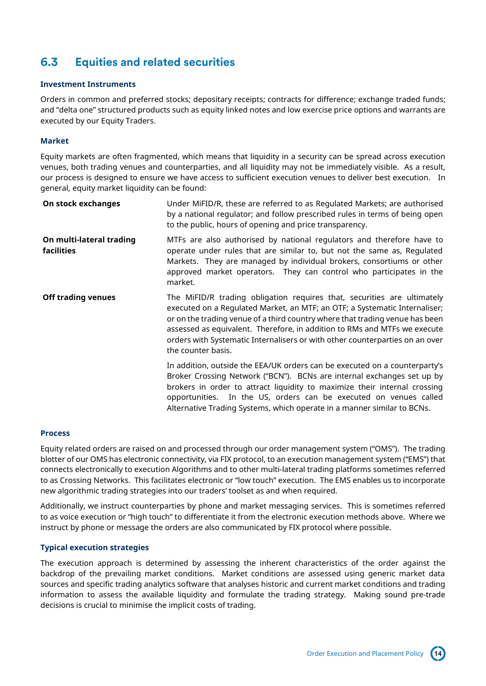# <span id="page-13-0"></span>**6.3 Equities and related securities**

#### **Investment Instruments**

Orders in common and preferred stocks; depositary receipts; contracts for difference; exchange traded funds; and "delta one" structured products such as equity linked notes and low exercise price options and warrants are executed by our Equity Traders.

### **Market**

Equity markets are often fragmented, which means that liquidity in a security can be spread across execution venues, both trading venues and counterparties, and all liquidity may not be immediately visible. As a result, our process is designed to ensure we have access to sufficient execution venues to deliver best execution. In general, equity market liquidity can be found:

| On stock exchanges                            | Under MiFID/R, these are referred to as Regulated Markets; are authorised<br>by a national regulator; and follow prescribed rules in terms of being open<br>to the public, hours of opening and price transparency.                                                                                                                                                                                                      |
|-----------------------------------------------|--------------------------------------------------------------------------------------------------------------------------------------------------------------------------------------------------------------------------------------------------------------------------------------------------------------------------------------------------------------------------------------------------------------------------|
| On multi-lateral trading<br><b>facilities</b> | MTFs are also authorised by national regulators and therefore have to<br>operate under rules that are similar to, but not the same as, Regulated<br>Markets. They are managed by individual brokers, consortiums or other<br>approved market operators. They can control who participates in the<br>market.                                                                                                              |
| <b>Off trading venues</b>                     | The MiFID/R trading obligation requires that, securities are ultimately<br>executed on a Regulated Market, an MTF; an OTF; a Systematic Internaliser;<br>or on the trading venue of a third country where that trading venue has been<br>assessed as equivalent. Therefore, in addition to RMs and MTFs we execute<br>orders with Systematic Internalisers or with other counterparties on an over<br>the counter basis. |
|                                               | In addition, outside the EEA/UK orders can be executed on a counterparty's<br>Broker Crossing Network ("BCN"). BCNs are internal exchanges set up by<br>brokers in order to attract liquidity to maximize their internal crossing<br>opportunities. In the US, orders can be executed on venues called<br>Alternative Trading Systems, which operate in a manner similar to BCNs.                                        |

#### **Process**

Equity related orders are raised on and processed through our order management system ("OMS"). The trading blotter of our OMS has electronic connectivity, via FIX protocol, to an execution management system ("EMS") that connects electronically to execution Algorithms and to other multi-lateral trading platforms sometimes referred to as Crossing Networks. This facilitates electronic or "low touch" execution. The EMS enables us to incorporate new algorithmic trading strategies into our traders' toolset as and when required.

Additionally, we instruct counterparties by phone and market messaging services. This is sometimes referred to as voice execution or "high touch" to differentiate it from the electronic execution methods above. Where we instruct by phone or message the orders are also communicated by FIX protocol where possible.

### **Typical execution strategies**

The execution approach is determined by assessing the inherent characteristics of the order against the backdrop of the prevailing market conditions. Market conditions are assessed using generic market data sources and specific trading analytics software that analyses historic and current market conditions and trading information to assess the available liquidity and formulate the trading strategy. Making sound pre-trade decisions is crucial to minimise the implicit costs of trading.

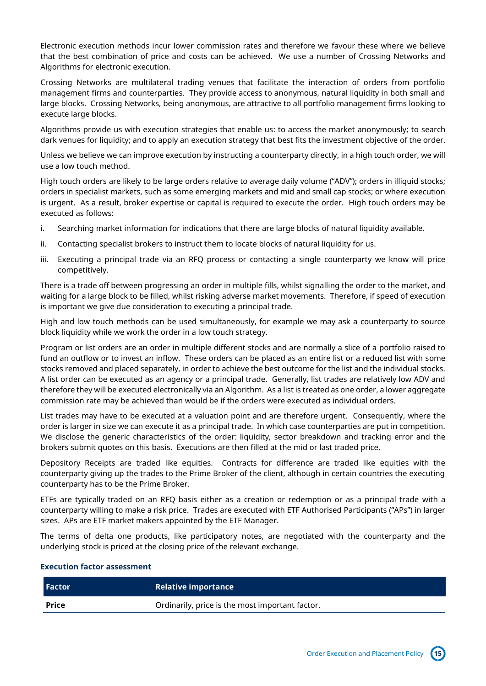Electronic execution methods incur lower commission rates and therefore we favour these where we believe that the best combination of price and costs can be achieved. We use a number of Crossing Networks and Algorithms for electronic execution.

Crossing Networks are multilateral trading venues that facilitate the interaction of orders from portfolio management firms and counterparties. They provide access to anonymous, natural liquidity in both small and large blocks. Crossing Networks, being anonymous, are attractive to all portfolio management firms looking to execute large blocks.

Algorithms provide us with execution strategies that enable us: to access the market anonymously; to search dark venues for liquidity; and to apply an execution strategy that best fits the investment objective of the order.

Unless we believe we can improve execution by instructing a counterparty directly, in a high touch order, we will use a low touch method.

High touch orders are likely to be large orders relative to average daily volume ("ADV"); orders in illiquid stocks; orders in specialist markets, such as some emerging markets and mid and small cap stocks; or where execution is urgent. As a result, broker expertise or capital is required to execute the order. High touch orders may be executed as follows:

- i. Searching market information for indications that there are large blocks of natural liquidity available.
- ii. Contacting specialist brokers to instruct them to locate blocks of natural liquidity for us.
- iii. Executing a principal trade via an RFQ process or contacting a single counterparty we know will price competitively.

There is a trade off between progressing an order in multiple fills, whilst signalling the order to the market, and waiting for a large block to be filled, whilst risking adverse market movements. Therefore, if speed of execution is important we give due consideration to executing a principal trade.

High and low touch methods can be used simultaneously, for example we may ask a counterparty to source block liquidity while we work the order in a low touch strategy.

Program or list orders are an order in multiple different stocks and are normally a slice of a portfolio raised to fund an outflow or to invest an inflow. These orders can be placed as an entire list or a reduced list with some stocks removed and placed separately, in order to achieve the best outcome for the list and the individual stocks. A list order can be executed as an agency or a principal trade. Generally, list trades are relatively low ADV and therefore they will be executed electronically via an Algorithm. As a list is treated as one order, a lower aggregate commission rate may be achieved than would be if the orders were executed as individual orders.

List trades may have to be executed at a valuation point and are therefore urgent. Consequently, where the order is larger in size we can execute it as a principal trade. In which case counterparties are put in competition. We disclose the generic characteristics of the order: liquidity, sector breakdown and tracking error and the brokers submit quotes on this basis. Executions are then filled at the mid or last traded price.

Depository Receipts are traded like equities. Contracts for difference are traded like equities with the counterparty giving up the trades to the Prime Broker of the client, although in certain countries the executing counterparty has to be the Prime Broker.

ETFs are typically traded on an RFQ basis either as a creation or redemption or as a principal trade with a counterparty willing to make a risk price. Trades are executed with ETF Authorised Participants ("APs") in larger sizes. APs are ETF market makers appointed by the ETF Manager.

The terms of delta one products, like participatory notes, are negotiated with the counterparty and the underlying stock is priced at the closing price of the relevant exchange.

#### **Execution factor assessment**

| <b>Factor</b> | <b>Relative importance</b>                      |
|---------------|-------------------------------------------------|
| <b>Price</b>  | Ordinarily, price is the most important factor. |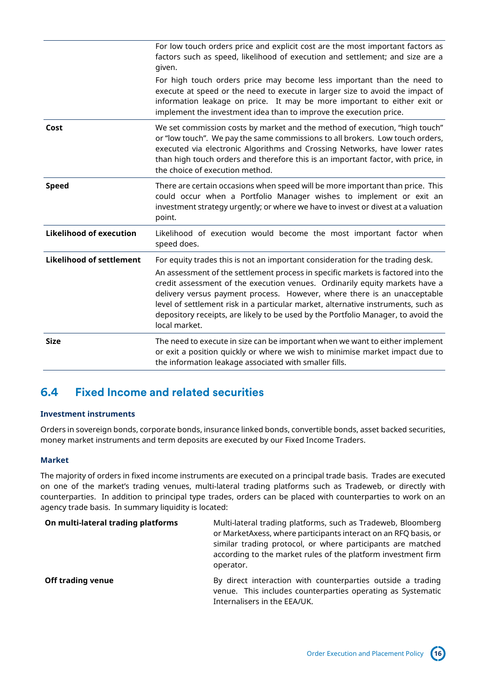|                                 | For low touch orders price and explicit cost are the most important factors as<br>factors such as speed, likelihood of execution and settlement; and size are a<br>given.                                                                                                                                                                                                                                                                                                                                                |
|---------------------------------|--------------------------------------------------------------------------------------------------------------------------------------------------------------------------------------------------------------------------------------------------------------------------------------------------------------------------------------------------------------------------------------------------------------------------------------------------------------------------------------------------------------------------|
|                                 | For high touch orders price may become less important than the need to<br>execute at speed or the need to execute in larger size to avoid the impact of<br>information leakage on price. It may be more important to either exit or<br>implement the investment idea than to improve the execution price.                                                                                                                                                                                                                |
| Cost                            | We set commission costs by market and the method of execution, "high touch"<br>or "low touch". We pay the same commissions to all brokers. Low touch orders,<br>executed via electronic Algorithms and Crossing Networks, have lower rates<br>than high touch orders and therefore this is an important factor, with price, in<br>the choice of execution method.                                                                                                                                                        |
| <b>Speed</b>                    | There are certain occasions when speed will be more important than price. This<br>could occur when a Portfolio Manager wishes to implement or exit an<br>investment strategy urgently; or where we have to invest or divest at a valuation<br>point.                                                                                                                                                                                                                                                                     |
| <b>Likelihood of execution</b>  | Likelihood of execution would become the most important factor when<br>speed does.                                                                                                                                                                                                                                                                                                                                                                                                                                       |
| <b>Likelihood of settlement</b> | For equity trades this is not an important consideration for the trading desk.<br>An assessment of the settlement process in specific markets is factored into the<br>credit assessment of the execution venues. Ordinarily equity markets have a<br>delivery versus payment process. However, where there is an unacceptable<br>level of settlement risk in a particular market, alternative instruments, such as<br>depository receipts, are likely to be used by the Portfolio Manager, to avoid the<br>local market. |
| <b>Size</b>                     | The need to execute in size can be important when we want to either implement<br>or exit a position quickly or where we wish to minimise market impact due to<br>the information leakage associated with smaller fills.                                                                                                                                                                                                                                                                                                  |

# <span id="page-15-0"></span>**6.4 Fixed Income and related securities**

### **Investment instruments**

Orders in sovereign bonds, corporate bonds, insurance linked bonds, convertible bonds, asset backed securities, money market instruments and term deposits are executed by our Fixed Income Traders.

### **Market**

The majority of orders in fixed income instruments are executed on a principal trade basis. Trades are executed on one of the market's trading venues, multi-lateral trading platforms such as Tradeweb, or directly with counterparties. In addition to principal type trades, orders can be placed with counterparties to work on an agency trade basis. In summary liquidity is located:

| On multi-lateral trading platforms | Multi-lateral trading platforms, such as Tradeweb, Bloomberg<br>or MarketAxess, where participants interact on an RFQ basis, or<br>similar trading protocol, or where participants are matched<br>according to the market rules of the platform investment firm<br>operator. |
|------------------------------------|------------------------------------------------------------------------------------------------------------------------------------------------------------------------------------------------------------------------------------------------------------------------------|
| <b>Off trading venue</b>           | By direct interaction with counterparties outside a trading<br>venue. This includes counterparties operating as Systematic<br>Internalisers in the EEA/UK.                                                                                                                   |

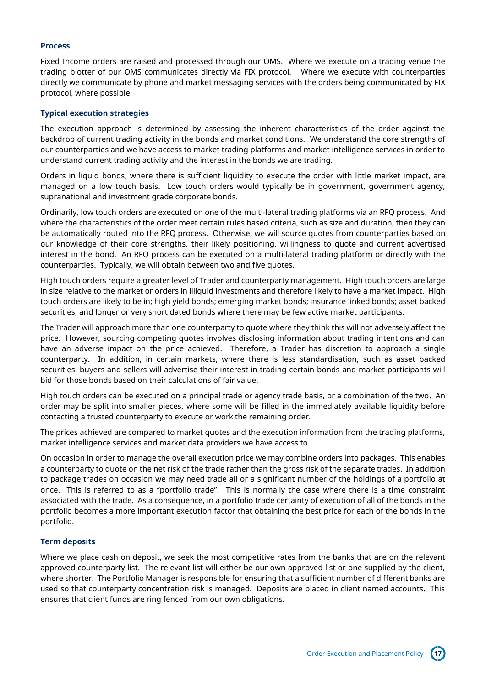### **Process**

Fixed Income orders are raised and processed through our OMS. Where we execute on a trading venue the trading blotter of our OMS communicates directly via FIX protocol. Where we execute with counterparties directly we communicate by phone and market messaging services with the orders being communicated by FIX protocol, where possible.

### **Typical execution strategies**

The execution approach is determined by assessing the inherent characteristics of the order against the backdrop of current trading activity in the bonds and market conditions. We understand the core strengths of our counterparties and we have access to market trading platforms and market intelligence services in order to understand current trading activity and the interest in the bonds we are trading.

Orders in liquid bonds, where there is sufficient liquidity to execute the order with little market impact, are managed on a low touch basis. Low touch orders would typically be in government, government agency, supranational and investment grade corporate bonds.

Ordinarily, low touch orders are executed on one of the multi-lateral trading platforms via an RFQ process. And where the characteristics of the order meet certain rules based criteria, such as size and duration, then they can be automatically routed into the RFQ process. Otherwise, we will source quotes from counterparties based on our knowledge of their core strengths, their likely positioning, willingness to quote and current advertised interest in the bond. An RFQ process can be executed on a multi-lateral trading platform or directly with the counterparties. Typically, we will obtain between two and five quotes.

High touch orders require a greater level of Trader and counterparty management. High touch orders are large in size relative to the market or orders in illiquid investments and therefore likely to have a market impact. High touch orders are likely to be in; high yield bonds; emerging market bonds; insurance linked bonds; asset backed securities; and longer or very short dated bonds where there may be few active market participants.

The Trader will approach more than one counterparty to quote where they think this will not adversely affect the price. However, sourcing competing quotes involves disclosing information about trading intentions and can have an adverse impact on the price achieved. Therefore, a Trader has discretion to approach a single counterparty. In addition, in certain markets, where there is less standardisation, such as asset backed securities, buyers and sellers will advertise their interest in trading certain bonds and market participants will bid for those bonds based on their calculations of fair value.

High touch orders can be executed on a principal trade or agency trade basis, or a combination of the two. An order may be split into smaller pieces, where some will be filled in the immediately available liquidity before contacting a trusted counterparty to execute or work the remaining order.

The prices achieved are compared to market quotes and the execution information from the trading platforms, market intelligence services and market data providers we have access to.

On occasion in order to manage the overall execution price we may combine orders into packages. This enables a counterparty to quote on the net risk of the trade rather than the gross risk of the separate trades. In addition to package trades on occasion we may need trade all or a significant number of the holdings of a portfolio at once. This is referred to as a "portfolio trade". This is normally the case where there is a time constraint associated with the trade. As a consequence, in a portfolio trade certainty of execution of all of the bonds in the portfolio becomes a more important execution factor that obtaining the best price for each of the bonds in the portfolio.

### **Term deposits**

Where we place cash on deposit, we seek the most competitive rates from the banks that are on the relevant approved counterparty list. The relevant list will either be our own approved list or one supplied by the client, where shorter. The Portfolio Manager is responsible for ensuring that a sufficient number of different banks are used so that counterparty concentration risk is managed. Deposits are placed in client named accounts. This ensures that client funds are ring fenced from our own obligations.

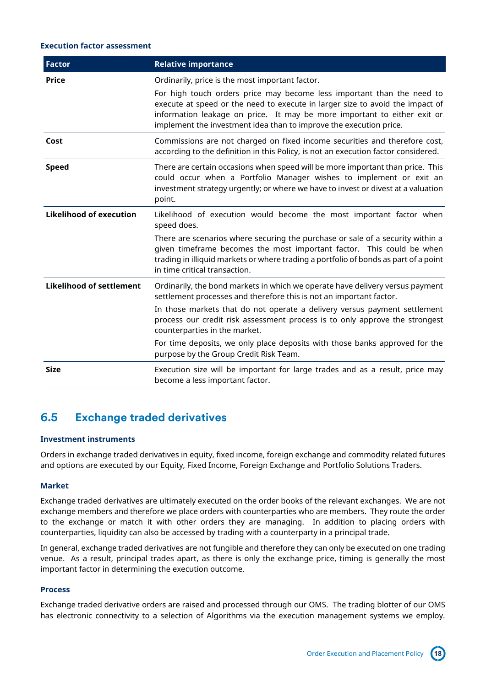### **Execution factor assessment**

| <b>Factor</b>                   | <b>Relative importance</b>                                                                                                                                                                                                                                                                                                                                   |
|---------------------------------|--------------------------------------------------------------------------------------------------------------------------------------------------------------------------------------------------------------------------------------------------------------------------------------------------------------------------------------------------------------|
| <b>Price</b>                    | Ordinarily, price is the most important factor.<br>For high touch orders price may become less important than the need to<br>execute at speed or the need to execute in larger size to avoid the impact of<br>information leakage on price. It may be more important to either exit or<br>implement the investment idea than to improve the execution price. |
| Cost                            | Commissions are not charged on fixed income securities and therefore cost,<br>according to the definition in this Policy, is not an execution factor considered.                                                                                                                                                                                             |
| <b>Speed</b>                    | There are certain occasions when speed will be more important than price. This<br>could occur when a Portfolio Manager wishes to implement or exit an<br>investment strategy urgently; or where we have to invest or divest at a valuation<br>point.                                                                                                         |
| <b>Likelihood of execution</b>  | Likelihood of execution would become the most important factor when<br>speed does.                                                                                                                                                                                                                                                                           |
|                                 | There are scenarios where securing the purchase or sale of a security within a<br>given timeframe becomes the most important factor. This could be when<br>trading in illiquid markets or where trading a portfolio of bonds as part of a point<br>in time critical transaction.                                                                             |
| <b>Likelihood of settlement</b> | Ordinarily, the bond markets in which we operate have delivery versus payment<br>settlement processes and therefore this is not an important factor.                                                                                                                                                                                                         |
|                                 | In those markets that do not operate a delivery versus payment settlement<br>process our credit risk assessment process is to only approve the strongest<br>counterparties in the market.                                                                                                                                                                    |
|                                 | For time deposits, we only place deposits with those banks approved for the<br>purpose by the Group Credit Risk Team.                                                                                                                                                                                                                                        |
| <b>Size</b>                     | Execution size will be important for large trades and as a result, price may<br>become a less important factor.                                                                                                                                                                                                                                              |

## <span id="page-17-0"></span>**6.5 Exchange traded derivatives**

### **Investment instruments**

Orders in exchange traded derivatives in equity, fixed income, foreign exchange and commodity related futures and options are executed by our Equity, Fixed Income, Foreign Exchange and Portfolio Solutions Traders.

### **Market**

Exchange traded derivatives are ultimately executed on the order books of the relevant exchanges. We are not exchange members and therefore we place orders with counterparties who are members. They route the order to the exchange or match it with other orders they are managing. In addition to placing orders with counterparties, liquidity can also be accessed by trading with a counterparty in a principal trade.

In general, exchange traded derivatives are not fungible and therefore they can only be executed on one trading venue. As a result, principal trades apart, as there is only the exchange price, timing is generally the most important factor in determining the execution outcome.

#### **Process**

Exchange traded derivative orders are raised and processed through our OMS. The trading blotter of our OMS has electronic connectivity to a selection of Algorithms via the execution management systems we employ.

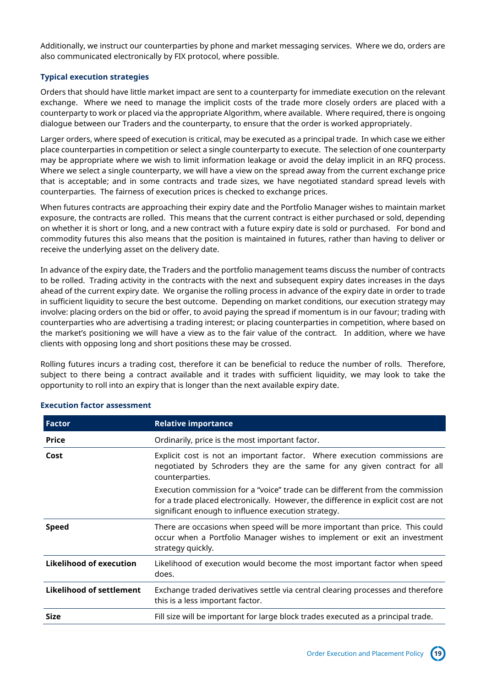Additionally, we instruct our counterparties by phone and market messaging services. Where we do, orders are also communicated electronically by FIX protocol, where possible.

### **Typical execution strategies**

Orders that should have little market impact are sent to a counterparty for immediate execution on the relevant exchange. Where we need to manage the implicit costs of the trade more closely orders are placed with a counterparty to work or placed via the appropriate Algorithm, where available. Where required, there is ongoing dialogue between our Traders and the counterparty, to ensure that the order is worked appropriately.

Larger orders, where speed of execution is critical, may be executed as a principal trade. In which case we either place counterparties in competition or select a single counterparty to execute. The selection of one counterparty may be appropriate where we wish to limit information leakage or avoid the delay implicit in an RFQ process. Where we select a single counterparty, we will have a view on the spread away from the current exchange price that is acceptable; and in some contracts and trade sizes, we have negotiated standard spread levels with counterparties. The fairness of execution prices is checked to exchange prices.

When futures contracts are approaching their expiry date and the Portfolio Manager wishes to maintain market exposure, the contracts are rolled. This means that the current contract is either purchased or sold, depending on whether it is short or long, and a new contract with a future expiry date is sold or purchased. For bond and commodity futures this also means that the position is maintained in futures, rather than having to deliver or receive the underlying asset on the delivery date.

In advance of the expiry date, the Traders and the portfolio management teams discuss the number of contracts to be rolled. Trading activity in the contracts with the next and subsequent expiry dates increases in the days ahead of the current expiry date. We organise the rolling process in advance of the expiry date in order to trade in sufficient liquidity to secure the best outcome. Depending on market conditions, our execution strategy may involve: placing orders on the bid or offer, to avoid paying the spread if momentum is in our favour; trading with counterparties who are advertising a trading interest; or placing counterparties in competition, where based on the market's positioning we will have a view as to the fair value of the contract. In addition, where we have clients with opposing long and short positions these may be crossed.

Rolling futures incurs a trading cost, therefore it can be beneficial to reduce the number of rolls. Therefore, subject to there being a contract available and it trades with sufficient liquidity, we may look to take the opportunity to roll into an expiry that is longer than the next available expiry date.

| <b>Factor</b>            | <b>Relative importance</b>                                                                                                                                                                                                  |
|--------------------------|-----------------------------------------------------------------------------------------------------------------------------------------------------------------------------------------------------------------------------|
| <b>Price</b>             | Ordinarily, price is the most important factor.                                                                                                                                                                             |
| Cost                     | Explicit cost is not an important factor. Where execution commissions are<br>negotiated by Schroders they are the same for any given contract for all<br>counterparties.                                                    |
|                          | Execution commission for a "voice" trade can be different from the commission<br>for a trade placed electronically. However, the difference in explicit cost are not<br>significant enough to influence execution strategy. |
| <b>Speed</b>             | There are occasions when speed will be more important than price. This could<br>occur when a Portfolio Manager wishes to implement or exit an investment<br>strategy quickly.                                               |
| Likelihood of execution  | Likelihood of execution would become the most important factor when speed<br>does.                                                                                                                                          |
| Likelihood of settlement | Exchange traded derivatives settle via central clearing processes and therefore<br>this is a less important factor.                                                                                                         |
| <b>Size</b>              | Fill size will be important for large block trades executed as a principal trade.                                                                                                                                           |

### **Execution factor assessment**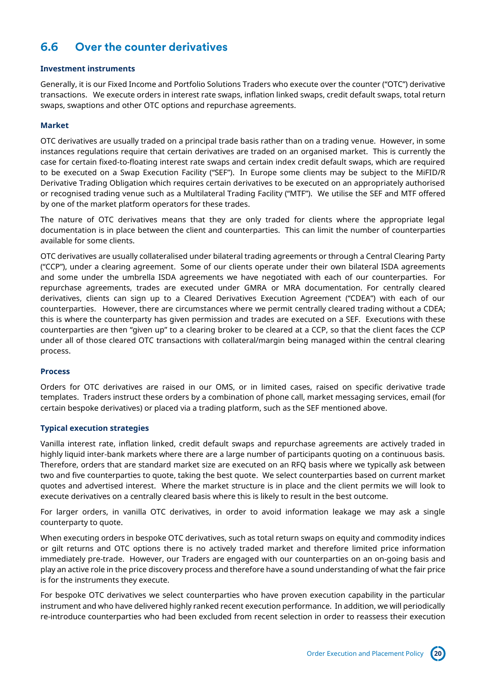# <span id="page-19-0"></span>**6.6 Over the counter derivatives**

### **Investment instruments**

Generally, it is our Fixed Income and Portfolio Solutions Traders who execute over the counter ("OTC") derivative transactions. We execute orders in interest rate swaps, inflation linked swaps, credit default swaps, total return swaps, swaptions and other OTC options and repurchase agreements.

### **Market**

OTC derivatives are usually traded on a principal trade basis rather than on a trading venue. However, in some instances regulations require that certain derivatives are traded on an organised market. This is currently the case for certain fixed-to-floating interest rate swaps and certain index credit default swaps, which are required to be executed on a Swap Execution Facility ("SEF"). In Europe some clients may be subject to the MiFID/R Derivative Trading Obligation which requires certain derivatives to be executed on an appropriately authorised or recognised trading venue such as a Multilateral Trading Facility ("MTF"). We utilise the SEF and MTF offered by one of the market platform operators for these trades.

The nature of OTC derivatives means that they are only traded for clients where the appropriate legal documentation is in place between the client and counterparties. This can limit the number of counterparties available for some clients.

OTC derivatives are usually collateralised under bilateral trading agreements or through a Central Clearing Party ("CCP"), under a clearing agreement. Some of our clients operate under their own bilateral ISDA agreements and some under the umbrella ISDA agreements we have negotiated with each of our counterparties. For repurchase agreements, trades are executed under GMRA or MRA documentation. For centrally cleared derivatives, clients can sign up to a Cleared Derivatives Execution Agreement ("CDEA") with each of our counterparties. However, there are circumstances where we permit centrally cleared trading without a CDEA; this is where the counterparty has given permission and trades are executed on a SEF. Executions with these counterparties are then "given up" to a clearing broker to be cleared at a CCP, so that the client faces the CCP under all of those cleared OTC transactions with collateral/margin being managed within the central clearing process.

### **Process**

Orders for OTC derivatives are raised in our OMS, or in limited cases, raised on specific derivative trade templates.Traders instruct these orders by a combination of phone call, market messaging services, email (for certain bespoke derivatives) or placed via a trading platform, such as the SEF mentioned above.

### **Typical execution strategies**

Vanilla interest rate, inflation linked, credit default swaps and repurchase agreements are actively traded in highly liquid inter-bank markets where there are a large number of participants quoting on a continuous basis. Therefore, orders that are standard market size are executed on an RFQ basis where we typically ask between two and five counterparties to quote, taking the best quote. We select counterparties based on current market quotes and advertised interest. Where the market structure is in place and the client permits we will look to execute derivatives on a centrally cleared basis where this is likely to result in the best outcome.

For larger orders, in vanilla OTC derivatives, in order to avoid information leakage we may ask a single counterparty to quote.

When executing orders in bespoke OTC derivatives, such as total return swaps on equity and commodity indices or gilt returns and OTC options there is no actively traded market and therefore limited price information immediately pre-trade. However, our Traders are engaged with our counterparties on an on-going basis and play an active role in the price discovery process and therefore have a sound understanding of what the fair price is for the instruments they execute.

For bespoke OTC derivatives we select counterparties who have proven execution capability in the particular instrument and who have delivered highly ranked recent execution performance. In addition, we will periodically re-introduce counterparties who had been excluded from recent selection in order to reassess their execution

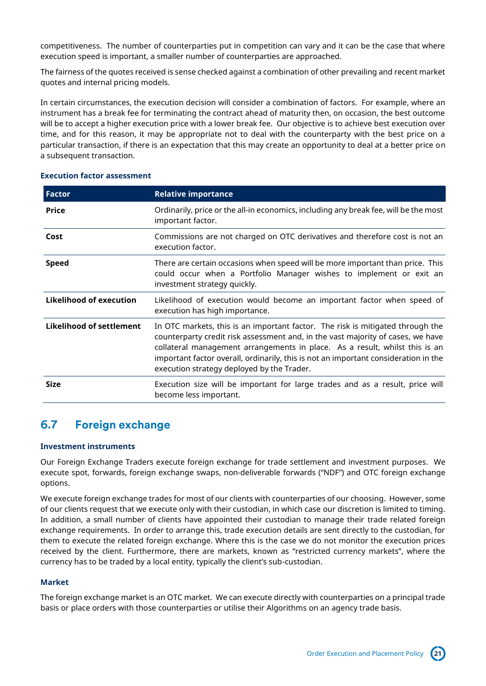competitiveness. The number of counterparties put in competition can vary and it can be the case that where execution speed is important, a smaller number of counterparties are approached.

The fairness of the quotes received is sense checked against a combination of other prevailing and recent market quotes and internal pricing models.

In certain circumstances, the execution decision will consider a combination of factors. For example, where an instrument has a break fee for terminating the contract ahead of maturity then, on occasion, the best outcome will be to accept a higher execution price with a lower break fee. Our objective is to achieve best execution over time, and for this reason, it may be appropriate not to deal with the counterparty with the best price on a particular transaction, if there is an expectation that this may create an opportunity to deal at a better price on a subsequent transaction.

| <b>Factor</b>                   | <b>Relative importance</b>                                                                                                                                                                                                                                                                                                                                                            |
|---------------------------------|---------------------------------------------------------------------------------------------------------------------------------------------------------------------------------------------------------------------------------------------------------------------------------------------------------------------------------------------------------------------------------------|
| <b>Price</b>                    | Ordinarily, price or the all-in economics, including any break fee, will be the most<br>important factor.                                                                                                                                                                                                                                                                             |
| Cost                            | Commissions are not charged on OTC derivatives and therefore cost is not an<br>execution factor.                                                                                                                                                                                                                                                                                      |
| <b>Speed</b>                    | There are certain occasions when speed will be more important than price. This<br>could occur when a Portfolio Manager wishes to implement or exit an<br>investment strategy quickly.                                                                                                                                                                                                 |
| Likelihood of execution         | Likelihood of execution would become an important factor when speed of<br>execution has high importance.                                                                                                                                                                                                                                                                              |
| <b>Likelihood of settlement</b> | In OTC markets, this is an important factor. The risk is mitigated through the<br>counterparty credit risk assessment and, in the vast majority of cases, we have<br>collateral management arrangements in place. As a result, whilst this is an<br>important factor overall, ordinarily, this is not an important consideration in the<br>execution strategy deployed by the Trader. |
| <b>Size</b>                     | Execution size will be important for large trades and as a result, price will<br>become less important.                                                                                                                                                                                                                                                                               |

#### **Execution factor assessment**

### <span id="page-20-0"></span>**6.7 Foreign exchange**

#### **Investment instruments**

Our Foreign Exchange Traders execute foreign exchange for trade settlement and investment purposes. We execute spot, forwards, foreign exchange swaps, non-deliverable forwards ("NDF") and OTC foreign exchange options.

We execute foreign exchange trades for most of our clients with counterparties of our choosing. However, some of our clients request that we execute only with their custodian, in which case our discretion is limited to timing. In addition, a small number of clients have appointed their custodian to manage their trade related foreign exchange requirements. In order to arrange this, trade execution details are sent directly to the custodian, for them to execute the related foreign exchange. Where this is the case we do not monitor the execution prices received by the client. Furthermore, there are markets, known as "restricted currency markets", where the currency has to be traded by a local entity, typically the client's sub-custodian.

### **Market**

The foreign exchange market is an OTC market. We can execute directly with counterparties on a principal trade basis or place orders with those counterparties or utilise their Algorithms on an agency trade basis.

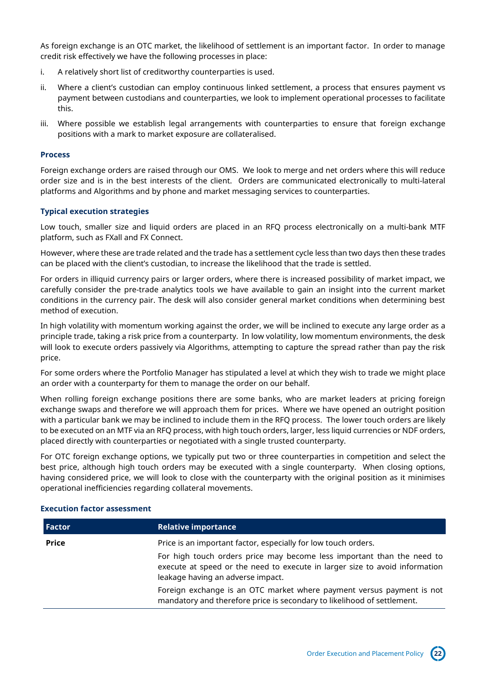As foreign exchange is an OTC market, the likelihood of settlement is an important factor. In order to manage credit risk effectively we have the following processes in place:

- i. A relatively short list of creditworthy counterparties is used.
- ii. Where a client's custodian can employ continuous linked settlement, a process that ensures payment vs payment between custodians and counterparties, we look to implement operational processes to facilitate this.
- iii. Where possible we establish legal arrangements with counterparties to ensure that foreign exchange positions with a mark to market exposure are collateralised.

### **Process**

Foreign exchange orders are raised through our OMS. We look to merge and net orders where this will reduce order size and is in the best interests of the client. Orders are communicated electronically to multi-lateral platforms and Algorithms and by phone and market messaging services to counterparties.

### **Typical execution strategies**

Low touch, smaller size and liquid orders are placed in an RFQ process electronically on a multi-bank MTF platform, such as FXall and FX Connect.

However, where these are trade related and the trade has a settlement cycle less than two days then these trades can be placed with the client's custodian, to increase the likelihood that the trade is settled.

For orders in illiquid currency pairs or larger orders, where there is increased possibility of market impact, we carefully consider the pre-trade analytics tools we have available to gain an insight into the current market conditions in the currency pair. The desk will also consider general market conditions when determining best method of execution.

In high volatility with momentum working against the order, we will be inclined to execute any large order as a principle trade, taking a risk price from a counterparty. In low volatility, low momentum environments, the desk will look to execute orders passively via Algorithms, attempting to capture the spread rather than pay the risk price.

For some orders where the Portfolio Manager has stipulated a level at which they wish to trade we might place an order with a counterparty for them to manage the order on our behalf.

When rolling foreign exchange positions there are some banks, who are market leaders at pricing foreign exchange swaps and therefore we will approach them for prices. Where we have opened an outright position with a particular bank we may be inclined to include them in the RFQ process. The lower touch orders are likely to be executed on an MTF via an RFQ process, with high touch orders, larger, less liquid currencies or NDF orders, placed directly with counterparties or negotiated with a single trusted counterparty.

For OTC foreign exchange options, we typically put two or three counterparties in competition and select the best price, although high touch orders may be executed with a single counterparty. When closing options, having considered price, we will look to close with the counterparty with the original position as it minimises operational inefficiencies regarding collateral movements.

| Factor       | <b>Relative importance</b>                                                                                                                                                                 |
|--------------|--------------------------------------------------------------------------------------------------------------------------------------------------------------------------------------------|
| <b>Price</b> | Price is an important factor, especially for low touch orders.                                                                                                                             |
|              | For high touch orders price may become less important than the need to<br>execute at speed or the need to execute in larger size to avoid information<br>leakage having an adverse impact. |
|              | Foreign exchange is an OTC market where payment versus payment is not<br>mandatory and therefore price is secondary to likelihood of settlement.                                           |

#### **Execution factor assessment**

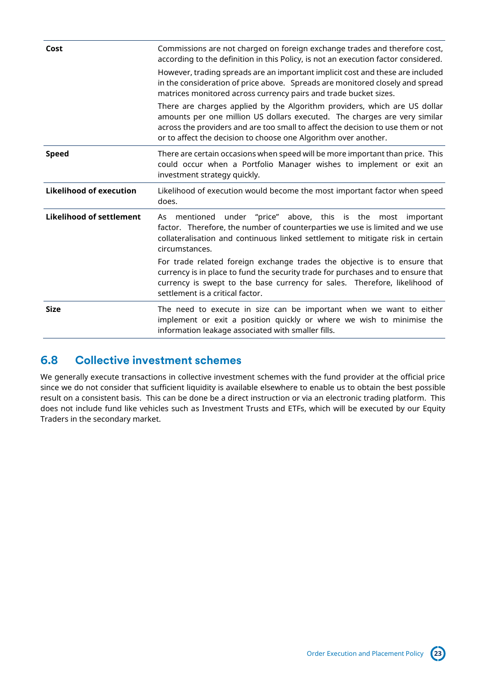| Cost                            | Commissions are not charged on foreign exchange trades and therefore cost,<br>according to the definition in this Policy, is not an execution factor considered.                                                                                                                                              |
|---------------------------------|---------------------------------------------------------------------------------------------------------------------------------------------------------------------------------------------------------------------------------------------------------------------------------------------------------------|
|                                 | However, trading spreads are an important implicit cost and these are included<br>in the consideration of price above. Spreads are monitored closely and spread<br>matrices monitored across currency pairs and trade bucket sizes.                                                                           |
|                                 | There are charges applied by the Algorithm providers, which are US dollar<br>amounts per one million US dollars executed. The charges are very similar<br>across the providers and are too small to affect the decision to use them or not<br>or to affect the decision to choose one Algorithm over another. |
| <b>Speed</b>                    | There are certain occasions when speed will be more important than price. This<br>could occur when a Portfolio Manager wishes to implement or exit an<br>investment strategy quickly.                                                                                                                         |
| <b>Likelihood of execution</b>  | Likelihood of execution would become the most important factor when speed<br>does.                                                                                                                                                                                                                            |
| <b>Likelihood of settlement</b> | mentioned under "price" above, this is the most important<br>As<br>factor. Therefore, the number of counterparties we use is limited and we use<br>collateralisation and continuous linked settlement to mitigate risk in certain<br>circumstances.                                                           |
|                                 | For trade related foreign exchange trades the objective is to ensure that<br>currency is in place to fund the security trade for purchases and to ensure that<br>currency is swept to the base currency for sales. Therefore, likelihood of<br>settlement is a critical factor.                               |
| <b>Size</b>                     | The need to execute in size can be important when we want to either<br>implement or exit a position quickly or where we wish to minimise the<br>information leakage associated with smaller fills.                                                                                                            |

### <span id="page-22-0"></span>**6.8 Collective investment schemes**

We generally execute transactions in collective investment schemes with the fund provider at the official price since we do not consider that sufficient liquidity is available elsewhere to enable us to obtain the best possible result on a consistent basis. This can be done be a direct instruction or via an electronic trading platform. This does not include fund like vehicles such as Investment Trusts and ETFs, which will be executed by our Equity Traders in the secondary market.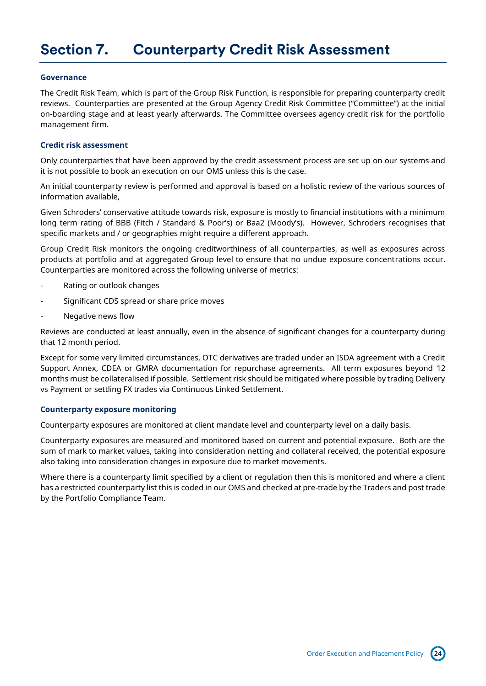# <span id="page-23-0"></span>**Section 7. Counterparty Credit Risk Assessment**

#### **Governance**

The Credit Risk Team, which is part of the Group Risk Function, is responsible for preparing counterparty credit reviews. Counterparties are presented at the Group Agency Credit Risk Committee ("Committee") at the initial on-boarding stage and at least yearly afterwards. The Committee oversees agency credit risk for the portfolio management firm.

#### **Credit risk assessment**

Only counterparties that have been approved by the credit assessment process are set up on our systems and it is not possible to book an execution on our OMS unless this is the case.

An initial counterparty review is performed and approval is based on a holistic review of the various sources of information available,

Given Schroders' conservative attitude towards risk, exposure is mostly to financial institutions with a minimum long term rating of BBB (Fitch / Standard & Poor's) or Baa2 (Moody's). However, Schroders recognises that specific markets and / or geographies might require a different approach.

Group Credit Risk monitors the ongoing creditworthiness of all counterparties, as well as exposures across products at portfolio and at aggregated Group level to ensure that no undue exposure concentrations occur. Counterparties are monitored across the following universe of metrics:

- Rating or outlook changes
- Significant CDS spread or share price moves
- Negative news flow

Reviews are conducted at least annually, even in the absence of significant changes for a counterparty during that 12 month period.

Except for some very limited circumstances, OTC derivatives are traded under an ISDA agreement with a Credit Support Annex, CDEA or GMRA documentation for repurchase agreements. All term exposures beyond 12 months must be collateralised if possible. Settlement risk should be mitigated where possible by trading Delivery vs Payment or settling FX trades via Continuous Linked Settlement.

#### **Counterparty exposure monitoring**

Counterparty exposures are monitored at client mandate level and counterparty level on a daily basis.

Counterparty exposures are measured and monitored based on current and potential exposure. Both are the sum of mark to market values, taking into consideration netting and collateral received, the potential exposure also taking into consideration changes in exposure due to market movements.

Where there is a counterparty limit specified by a client or regulation then this is monitored and where a client has a restricted counterparty list this is coded in our OMS and checked at pre-trade by the Traders and post trade by the Portfolio Compliance Team.

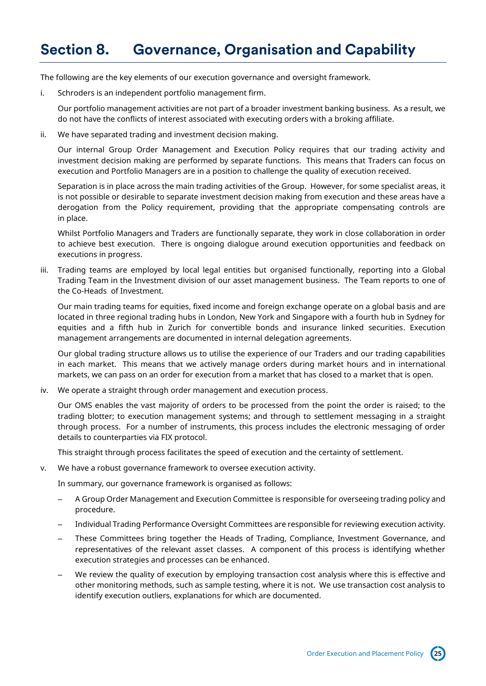# <span id="page-24-0"></span>**Section 8. Governance, Organisation and Capability**

The following are the key elements of our execution governance and oversight framework.

i. Schroders is an independent portfolio management firm.

Our portfolio management activities are not part of a broader investment banking business. As a result, we do not have the conflicts of interest associated with executing orders with a broking affiliate.

ii. We have separated trading and investment decision making.

Our internal Group Order Management and Execution Policy requires that our trading activity and investment decision making are performed by separate functions. This means that Traders can focus on execution and Portfolio Managers are in a position to challenge the quality of execution received.

Separation is in place across the main trading activities of the Group. However, for some specialist areas, it is not possible or desirable to separate investment decision making from execution and these areas have a derogation from the Policy requirement, providing that the appropriate compensating controls are in place.

Whilst Portfolio Managers and Traders are functionally separate, they work in close collaboration in order to achieve best execution. There is ongoing dialogue around execution opportunities and feedback on executions in progress.

iii. Trading teams are employed by local legal entities but organised functionally, reporting into a Global Trading Team in the Investment division of our asset management business. The Team reports to one of the Co-Heads of Investment.

Our main trading teams for equities, fixed income and foreign exchange operate on a global basis and are located in three regional trading hubs in London, New York and Singapore with a fourth hub in Sydney for equities and a fifth hub in Zurich for convertible bonds and insurance linked securities. Execution management arrangements are documented in internal delegation agreements.

Our global trading structure allows us to utilise the experience of our Traders and our trading capabilities in each market. This means that we actively manage orders during market hours and in international markets, we can pass on an order for execution from a market that has closed to a market that is open.

iv. We operate a straight through order management and execution process.

Our OMS enables the vast majority of orders to be processed from the point the order is raised; to the trading blotter; to execution management systems; and through to settlement messaging in a straight through process. For a number of instruments, this process includes the electronic messaging of order details to counterparties via FIX protocol.

This straight through process facilitates the speed of execution and the certainty of settlement.

v. We have a robust governance framework to oversee execution activity.

In summary, our governance framework is organised as follows:

- A Group Order Management and Execution Committee is responsible for overseeing trading policy and procedure.
- Individual Trading Performance Oversight Committees are responsible for reviewing execution activity.
- These Committees bring together the Heads of Trading, Compliance, Investment Governance, and representatives of the relevant asset classes. A component of this process is identifying whether execution strategies and processes can be enhanced.
- We review the quality of execution by employing transaction cost analysis where this is effective and other monitoring methods, such as sample testing, where it is not. We use transaction cost analysis to identify execution outliers, explanations for which are documented.

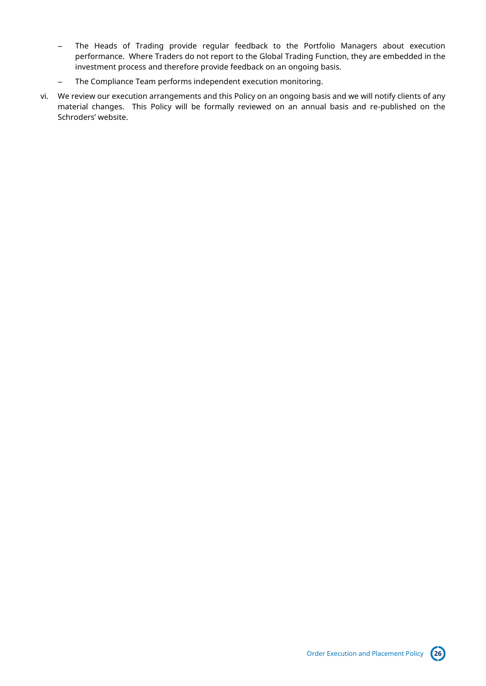- The Heads of Trading provide regular feedback to the Portfolio Managers about execution performance. Where Traders do not report to the Global Trading Function, they are embedded in the investment process and therefore provide feedback on an ongoing basis.
- The Compliance Team performs independent execution monitoring.
- vi. We review our execution arrangements and this Policy on an ongoing basis and we will notify clients of any material changes. This Policy will be formally reviewed on an annual basis and re-published on the Schroders' website.

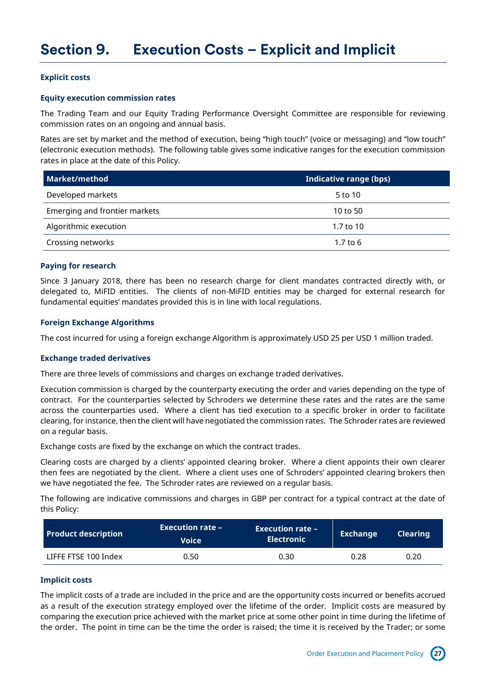### <span id="page-26-0"></span>**Explicit costs**

### **Equity execution commission rates**

The Trading Team and our Equity Trading Performance Oversight Committee are responsible for reviewing commission rates on an ongoing and annual basis.

Rates are set by market and the method of execution, being "high touch" (voice or messaging) and "low touch" (electronic execution methods). The following table gives some indicative ranges for the execution commission rates in place at the date of this Policy.

| Market/method                 | Indicative range (bps) |
|-------------------------------|------------------------|
| Developed markets             | 5 to 10                |
| Emerging and frontier markets | 10 to 50               |
| Algorithmic execution         | 1.7 to 10              |
| Crossing networks             | $1.7$ to $6$           |

### **Paying for research**

Since 3 January 2018, there has been no research charge for client mandates contracted directly with, or delegated to, MiFID entities. The clients of non-MiFID entities may be charged for external research for fundamental equities' mandates provided this is in line with local regulations.

### **Foreign Exchange Algorithms**

The cost incurred for using a foreign exchange Algorithm is approximately USD 25 per USD 1 million traded.

#### **Exchange traded derivatives**

There are three levels of commissions and charges on exchange traded derivatives.

Execution commission is charged by the counterparty executing the order and varies depending on the type of contract. For the counterparties selected by Schroders we determine these rates and the rates are the same across the counterparties used. Where a client has tied execution to a specific broker in order to facilitate clearing, for instance, then the client will have negotiated the commission rates. The Schroder rates are reviewed on a regular basis.

Exchange costs are fixed by the exchange on which the contract trades.

Clearing costs are charged by a clients' appointed clearing broker. Where a client appoints their own clearer then fees are negotiated by the client. Where a client uses one of Schroders' appointed clearing brokers then we have negotiated the fee. The Schroder rates are reviewed on a regular basis.

The following are indicative commissions and charges in GBP per contract for a typical contract at the date of this Policy:

| <b>Product description</b> | <b>Execution rate –</b><br><b>Voice</b> | <b>Execution rate –</b><br><b>Electronic</b> | Exchange | <b>Clearing</b> |
|----------------------------|-----------------------------------------|----------------------------------------------|----------|-----------------|
| LIFFE FTSE 100 Index       | 0.50                                    | 0.30                                         | 0.28     | 0.20            |

### **Implicit costs**

The implicit costs of a trade are included in the price and are the opportunity costs incurred or benefits accrued as a result of the execution strategy employed over the lifetime of the order. Implicit costs are measured by comparing the execution price achieved with the market price at some other point in time during the lifetime of the order. The point in time can be the time the order is raised; the time it is received by the Trader; or some

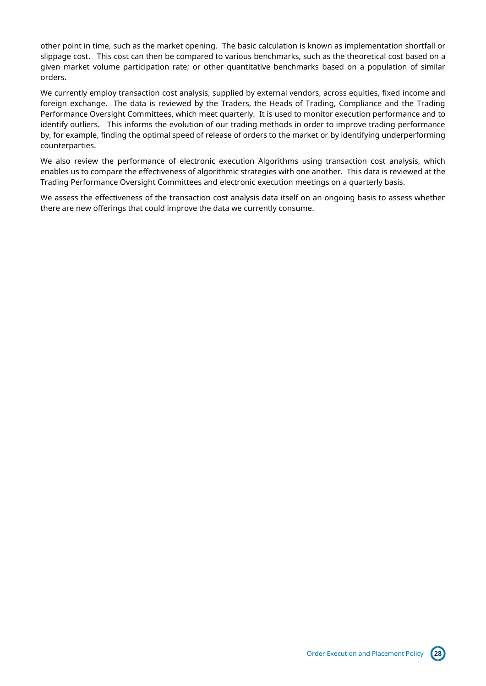other point in time, such as the market opening. The basic calculation is known as implementation shortfall or slippage cost. This cost can then be compared to various benchmarks, such as the theoretical cost based on a given market volume participation rate; or other quantitative benchmarks based on a population of similar orders.

We currently employ transaction cost analysis, supplied by external vendors, across equities, fixed income and foreign exchange. The data is reviewed by the Traders, the Heads of Trading, Compliance and the Trading Performance Oversight Committees, which meet quarterly. It is used to monitor execution performance and to identify outliers. This informs the evolution of our trading methods in order to improve trading performance by, for example, finding the optimal speed of release of orders to the market or by identifying underperforming counterparties.

We also review the performance of electronic execution Algorithms using transaction cost analysis, which enables us to compare the effectiveness of algorithmic strategies with one another. This data is reviewed at the Trading Performance Oversight Committees and electronic execution meetings on a quarterly basis.

We assess the effectiveness of the transaction cost analysis data itself on an ongoing basis to assess whether there are new offerings that could improve the data we currently consume.

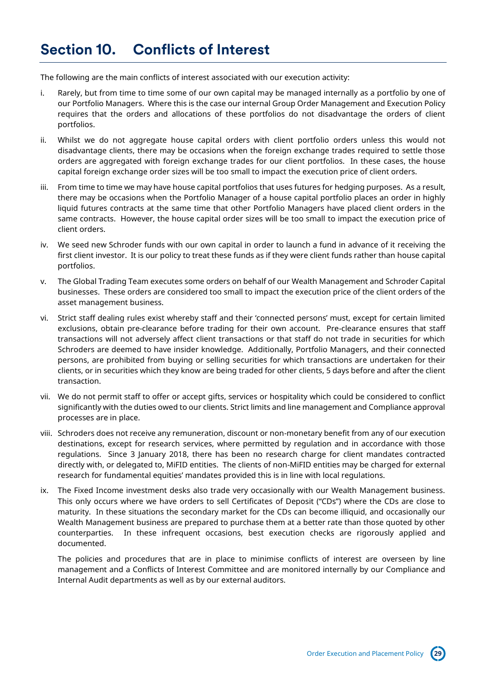<span id="page-28-0"></span>The following are the main conflicts of interest associated with our execution activity:

- i. Rarely, but from time to time some of our own capital may be managed internally as a portfolio by one of our Portfolio Managers. Where this is the case our internal Group Order Management and Execution Policy requires that the orders and allocations of these portfolios do not disadvantage the orders of client portfolios.
- ii. Whilst we do not aggregate house capital orders with client portfolio orders unless this would not disadvantage clients, there may be occasions when the foreign exchange trades required to settle those orders are aggregated with foreign exchange trades for our client portfolios. In these cases, the house capital foreign exchange order sizes will be too small to impact the execution price of client orders.
- iii. From time to time we may have house capital portfolios that uses futures for hedging purposes. As a result, there may be occasions when the Portfolio Manager of a house capital portfolio places an order in highly liquid futures contracts at the same time that other Portfolio Managers have placed client orders in the same contracts. However, the house capital order sizes will be too small to impact the execution price of client orders.
- iv. We seed new Schroder funds with our own capital in order to launch a fund in advance of it receiving the first client investor. It is our policy to treat these funds as if they were client funds rather than house capital portfolios.
- v. The Global Trading Team executes some orders on behalf of our Wealth Management and Schroder Capital businesses. These orders are considered too small to impact the execution price of the client orders of the asset management business.
- vi. Strict staff dealing rules exist whereby staff and their 'connected persons' must, except for certain limited exclusions, obtain pre-clearance before trading for their own account. Pre-clearance ensures that staff transactions will not adversely affect client transactions or that staff do not trade in securities for which Schroders are deemed to have insider knowledge. Additionally, Portfolio Managers, and their connected persons, are prohibited from buying or selling securities for which transactions are undertaken for their clients, or in securities which they know are being traded for other clients, 5 days before and after the client transaction.
- vii. We do not permit staff to offer or accept gifts, services or hospitality which could be considered to conflict significantly with the duties owed to our clients. Strict limits and line management and Compliance approval processes are in place.
- viii. Schroders does not receive any remuneration, discount or non-monetary benefit from any of our execution destinations, except for research services, where permitted by regulation and in accordance with those regulations. Since 3 January 2018, there has been no research charge for client mandates contracted directly with, or delegated to, MiFID entities. The clients of non-MiFID entities may be charged for external research for fundamental equities' mandates provided this is in line with local regulations.
- ix. The Fixed Income investment desks also trade very occasionally with our Wealth Management business. This only occurs where we have orders to sell Certificates of Deposit ("CDs") where the CDs are close to maturity. In these situations the secondary market for the CDs can become illiquid, and occasionally our Wealth Management business are prepared to purchase them at a better rate than those quoted by other counterparties. In these infrequent occasions, best execution checks are rigorously applied and documented.

The policies and procedures that are in place to minimise conflicts of interest are overseen by line management and a Conflicts of Interest Committee and are monitored internally by our Compliance and Internal Audit departments as well as by our external auditors.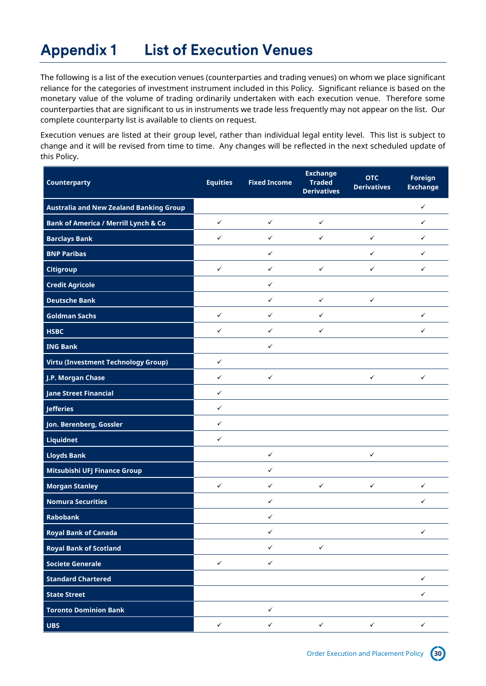#### <span id="page-29-0"></span>**List of Execution Venues Appendix 1**

The following is a list of the execution venues (counterparties and trading venues) on whom we place significant reliance for the categories of investment instrument included in this Policy. Significant reliance is based on the monetary value of the volume of trading ordinarily undertaken with each execution venue. Therefore some counterparties that are significant to us in instruments we trade less frequently may not appear on the list. Our complete counterparty list is available to clients on request.

Execution venues are listed at their group level, rather than individual legal entity level. This list is subject to change and it will be revised from time to time. Any changes will be reflected in the next scheduled update of this Policy.

| <b>Counterparty</b>                             | <b>Equities</b> | <b>Fixed Income</b> | <b>Exchange</b><br><b>Traded</b><br><b>Derivatives</b> | <b>OTC</b><br><b>Derivatives</b> | Foreign<br><b>Exchange</b> |
|-------------------------------------------------|-----------------|---------------------|--------------------------------------------------------|----------------------------------|----------------------------|
| <b>Australia and New Zealand Banking Group</b>  |                 |                     |                                                        |                                  | $\checkmark$               |
| <b>Bank of America / Merrill Lynch &amp; Co</b> | $\checkmark$    | $\checkmark$        | $\checkmark$                                           |                                  | ✓                          |
| <b>Barclays Bank</b>                            | $\checkmark$    | $\checkmark$        | ✓                                                      | $\checkmark$                     | ✓                          |
| <b>BNP Paribas</b>                              |                 | $\checkmark$        |                                                        | ✓                                | ✓                          |
| <b>Citigroup</b>                                | ✓               | $\checkmark$        | $\checkmark$                                           | $\checkmark$                     | ✓                          |
| <b>Credit Agricole</b>                          |                 | $\checkmark$        |                                                        |                                  |                            |
| <b>Deutsche Bank</b>                            |                 | $\checkmark$        | $\checkmark$                                           | $\checkmark$                     |                            |
| <b>Goldman Sachs</b>                            | $\checkmark$    | $\checkmark$        | ✓                                                      |                                  | ✓                          |
| <b>HSBC</b>                                     | ✓               | ✓                   | ✓                                                      |                                  | ✓                          |
| <b>ING Bank</b>                                 |                 | $\checkmark$        |                                                        |                                  |                            |
| Virtu (Investment Technology Group)             | ✓               |                     |                                                        |                                  |                            |
| J.P. Morgan Chase                               | ✓               | $\checkmark$        |                                                        | $\checkmark$                     | ✓                          |
| <b>Jane Street Financial</b>                    | ✓               |                     |                                                        |                                  |                            |
| <b>Jefferies</b>                                | ✓               |                     |                                                        |                                  |                            |
| Jon. Berenberg, Gossler                         | $\checkmark$    |                     |                                                        |                                  |                            |
| Liquidnet                                       | ✓               |                     |                                                        |                                  |                            |
| <b>Lloyds Bank</b>                              |                 | $\checkmark$        |                                                        | $\checkmark$                     |                            |
| Mitsubishi UFJ Finance Group                    |                 | $\checkmark$        |                                                        |                                  |                            |
| <b>Morgan Stanley</b>                           | ✓               | $\checkmark$        | ✓                                                      | $\checkmark$                     | ✓                          |
| <b>Nomura Securities</b>                        |                 | $\checkmark$        |                                                        |                                  | ✓                          |
| <b>Rabobank</b>                                 |                 | $\checkmark$        |                                                        |                                  |                            |
| <b>Royal Bank of Canada</b>                     |                 | $\checkmark$        |                                                        |                                  | $\checkmark$               |
| <b>Royal Bank of Scotland</b>                   |                 | $\checkmark$        | $\checkmark$                                           |                                  |                            |
| <b>Societe Generale</b>                         | $\checkmark$    | $\checkmark$        |                                                        |                                  |                            |
| <b>Standard Chartered</b>                       |                 |                     |                                                        |                                  | ✓                          |
| <b>State Street</b>                             |                 |                     |                                                        |                                  | $\checkmark$               |
| <b>Toronto Dominion Bank</b>                    |                 | $\checkmark$        |                                                        |                                  |                            |
| $\overline{UBS}$                                | $\checkmark$    | $\checkmark$        | $\checkmark$                                           | $\checkmark$                     | $\checkmark$               |